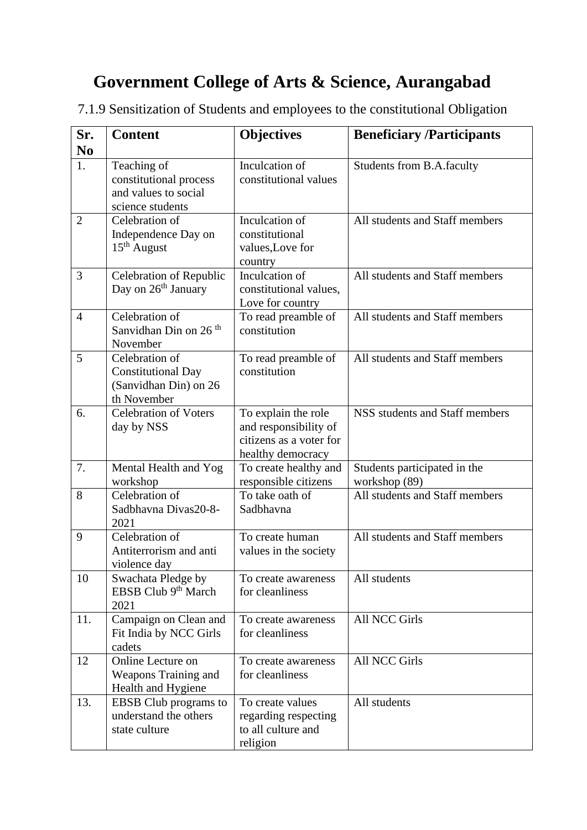## **Government College of Arts & Science, Aurangabad**

7.1.9 Sensitization of Students and employees to the constitutional Obligation

| Sr.<br>N <sub>0</sub> | <b>Content</b>                                                                      | <b>Objectives</b>                                                                            | <b>Beneficiary /Participants</b>              |
|-----------------------|-------------------------------------------------------------------------------------|----------------------------------------------------------------------------------------------|-----------------------------------------------|
| 1.                    | Teaching of<br>constitutional process<br>and values to social<br>science students   | Inculcation of<br>constitutional values                                                      | Students from B.A.faculty                     |
| $\overline{2}$        | Celebration of<br>Independence Day on<br>$15th$ August                              | Inculcation of<br>constitutional<br>values, Love for<br>country                              | All students and Staff members                |
| 3                     | Celebration of Republic<br>Day on 26 <sup>th</sup> January                          | Inculcation of<br>constitutional values,<br>Love for country                                 | All students and Staff members                |
| 4                     | Celebration of<br>Sanvidhan Din on 26 <sup>th</sup><br>November                     | To read preamble of<br>constitution                                                          | All students and Staff members                |
| 5                     | Celebration of<br><b>Constitutional Day</b><br>(Sanvidhan Din) on 26<br>th November | To read preamble of<br>constitution                                                          | All students and Staff members                |
| 6.                    | <b>Celebration of Voters</b><br>day by NSS                                          | To explain the role<br>and responsibility of<br>citizens as a voter for<br>healthy democracy | <b>NSS</b> students and Staff members         |
| 7.                    | Mental Health and Yog<br>workshop                                                   | To create healthy and<br>responsible citizens                                                | Students participated in the<br>workshop (89) |
| 8                     | Celebration of<br>Sadbhavna Divas20-8-<br>2021                                      | To take oath of<br>Sadbhavna                                                                 | All students and Staff members                |
| 9                     | Celebration of<br>Antiterrorism and anti<br>violence day                            | To create human<br>values in the society                                                     | All students and Staff members                |
| 10                    | Swachata Pledge by<br>EBSB Club 9 <sup>th</sup> March<br>2021                       | To create awareness<br>for cleanliness                                                       | All students                                  |
| 11.                   | Campaign on Clean and<br>Fit India by NCC Girls<br>cadets                           | To create awareness<br>for cleanliness                                                       | <b>All NCC Girls</b>                          |
| 12                    | Online Lecture on<br>Weapons Training and<br>Health and Hygiene                     | To create awareness<br>for cleanliness                                                       | <b>All NCC Girls</b>                          |
| 13.                   | EBSB Club programs to<br>understand the others<br>state culture                     | To create values<br>regarding respecting<br>to all culture and<br>religion                   | All students                                  |